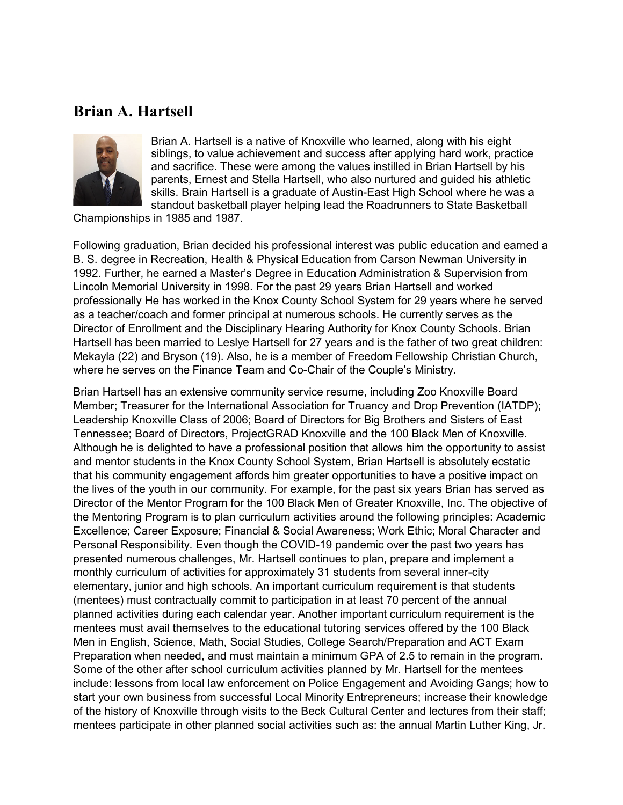## **Brian A. Hartsell**



Brian A. Hartsell is a native of Knoxville who learned, along with his eight siblings, to value achievement and success after applying hard work, practice and sacrifice. These were among the values instilled in Brian Hartsell by his parents, Ernest and Stella Hartsell, who also nurtured and guided his athletic skills. Brain Hartsell is a graduate of Austin-East High School where he was a standout basketball player helping lead the Roadrunners to State Basketball

Championships in 1985 and 1987.

Following graduation, Brian decided his professional interest was public education and earned a B. S. degree in Recreation, Health & Physical Education from Carson Newman University in 1992. Further, he earned a Master's Degree in Education Administration & Supervision from Lincoln Memorial University in 1998. For the past 29 years Brian Hartsell and worked professionally He has worked in the Knox County School System for 29 years where he served as a teacher/coach and former principal at numerous schools. He currently serves as the Director of Enrollment and the Disciplinary Hearing Authority for Knox County Schools. Brian Hartsell has been married to Leslye Hartsell for 27 years and is the father of two great children: Mekayla (22) and Bryson (19). Also, he is a member of Freedom Fellowship Christian Church, where he serves on the Finance Team and Co-Chair of the Couple's Ministry.

Brian Hartsell has an extensive community service resume, including Zoo Knoxville Board Member; Treasurer for the International Association for Truancy and Drop Prevention (IATDP); Leadership Knoxville Class of 2006; Board of Directors for Big Brothers and Sisters of East Tennessee; Board of Directors, ProjectGRAD Knoxville and the 100 Black Men of Knoxville. Although he is delighted to have a professional position that allows him the opportunity to assist and mentor students in the Knox County School System, Brian Hartsell is absolutely ecstatic that his community engagement affords him greater opportunities to have a positive impact on the lives of the youth in our community. For example, for the past six years Brian has served as Director of the Mentor Program for the 100 Black Men of Greater Knoxville, Inc. The objective of the Mentoring Program is to plan curriculum activities around the following principles: Academic Excellence; Career Exposure; Financial & Social Awareness; Work Ethic; Moral Character and Personal Responsibility. Even though the COVID-19 pandemic over the past two years has presented numerous challenges, Mr. Hartsell continues to plan, prepare and implement a monthly curriculum of activities for approximately 31 students from several inner-city elementary, junior and high schools. An important curriculum requirement is that students (mentees) must contractually commit to participation in at least 70 percent of the annual planned activities during each calendar year. Another important curriculum requirement is the mentees must avail themselves to the educational tutoring services offered by the 100 Black Men in English, Science, Math, Social Studies, College Search/Preparation and ACT Exam Preparation when needed, and must maintain a minimum GPA of 2.5 to remain in the program. Some of the other after school curriculum activities planned by Mr. Hartsell for the mentees include: lessons from local law enforcement on Police Engagement and Avoiding Gangs; how to start your own business from successful Local Minority Entrepreneurs; increase their knowledge of the history of Knoxville through visits to the Beck Cultural Center and lectures from their staff; mentees participate in other planned social activities such as: the annual Martin Luther King, Jr.